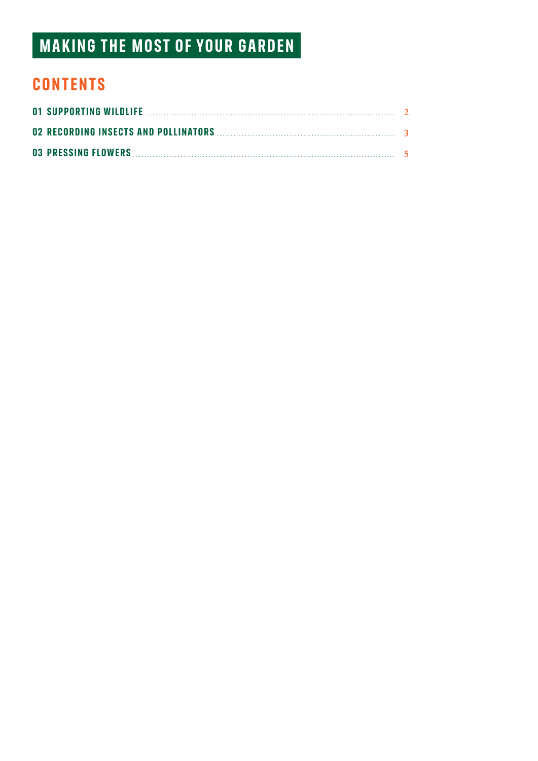# **MAKING THE MOST OF YOUR GARDEN**

## **CONTENTS**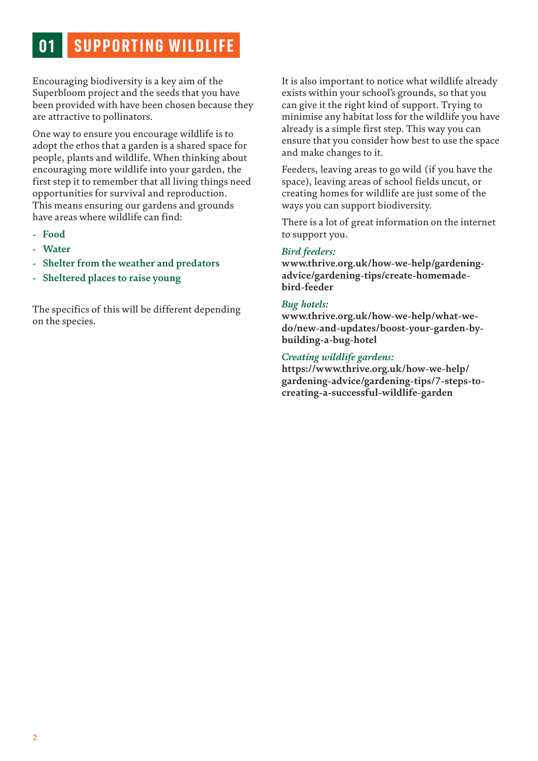# **01 SUPPORTING WILDLIFE**

Encouraging biodiversity is a key aim of the Superbloom project and the seeds that you have been provided with have been chosen because they are attractive to pollinators.

One way to ensure you encourage wildlife is to adopt the ethos that a garden is a shared space for people, plants and wildlife. When thinking about encouraging more wildlife into your garden, the first step it to remember that all living things need opportunities for survival and reproduction. This means ensuring our gardens and grounds have areas where wildlife can find:

- **- Food**
- **- Water**
- **- Shelter from the weather and predators**
- **- Sheltered places to raise young**

The specifics of this will be different depending on the species.

It is also important to notice what wildlife already exists within your school's grounds, so that you can give it the right kind of support. Trying to minimise any habitat loss for the wildlife you have already is a simple first step. This way you can ensure that you consider how best to use the space and make changes to it.

Feeders, leaving areas to go wild (if you have the space), leaving areas of school fields uncut, or creating homes for wildlife are just some of the ways you can support biodiversity.

There is a lot of great information on the internet to support you.

#### *Bird feeders:*

**www.thrive.org.uk/how-we-help/gardeningadvice/gardening-tips/create-homemadebird-feeder** 

#### *Bug hotels:*

**www.thrive.org.uk/how-we-help/what-wedo/new-and-updates/boost-your-garden-bybuilding-a-bug-hotel** 

#### *Creating wildlife gardens:*

**https://www.thrive.org.uk/how-we-help/ gardening-advice/gardening-tips/7-steps-tocreating-a-successful-wildlife-garden**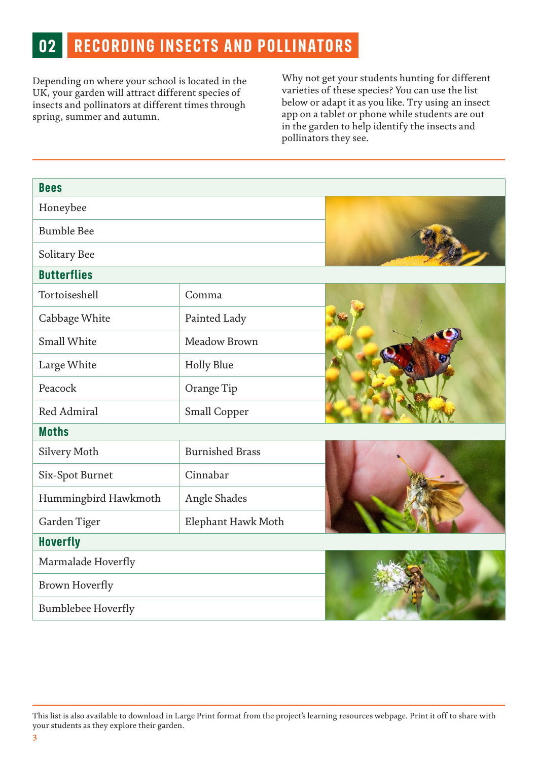## **02 RECORDING INSECTS AND POLLINATORS**

Depending on where your school is located in the UK, your garden will attract different species of insects and pollinators at different times through spring, summer and autumn.

Why not get your students hunting for different varieties of these species? You can use the list below or adapt it as you like. Try using an insect app on a tablet or phone while students are out in the garden to help identify the insects and pollinators they see.

| <b>Bees</b>               |                        |  |
|---------------------------|------------------------|--|
| Honeybee                  |                        |  |
| <b>Bumble Bee</b>         |                        |  |
| Solitary Bee              |                        |  |
| <b>Butterflies</b>        |                        |  |
| Tortoiseshell             | Comma                  |  |
| Cabbage White             | Painted Lady           |  |
| <b>Small White</b>        | Meadow Brown           |  |
| Large White               | <b>Holly Blue</b>      |  |
| Peacock                   | Orange Tip             |  |
| Red Admiral               | Small Copper           |  |
| <b>Moths</b>              |                        |  |
| Silvery Moth              | <b>Burnished Brass</b> |  |
| Six-Spot Burnet           | Cinnabar               |  |
| Hummingbird Hawkmoth      | Angle Shades           |  |
| Garden Tiger              | Elephant Hawk Moth     |  |
| <b>Hoverfly</b>           |                        |  |
| Marmalade Hoverfly        |                        |  |
| Brown Hoverfly            |                        |  |
| <b>Bumblebee Hoverfly</b> |                        |  |

This list is also available to download in Large Print format from the project's learning resources webpage. Print it off to share with your students as they explore their garden.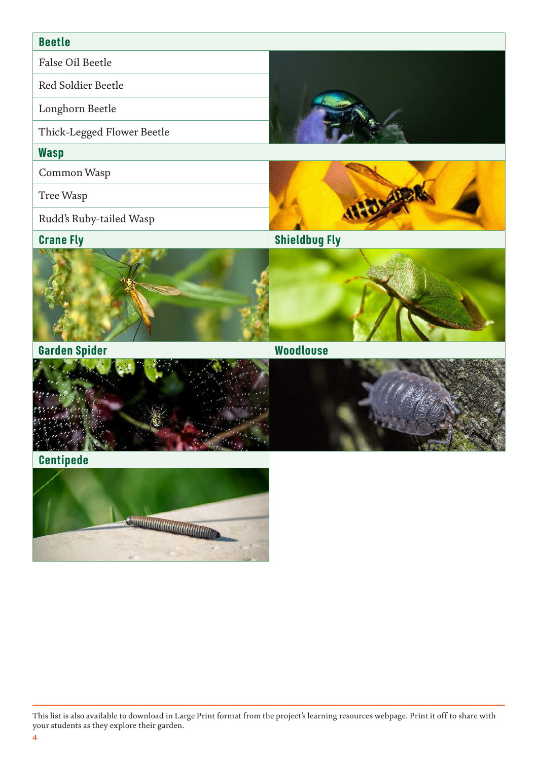#### **Beetle**

False Oil Beetle

Red Soldier Beetle

Longhorn Beetle

Thick-Legged Flower Beetle

#### **Wasp**

Common Wasp

Tree Wasp

Rudd's Ruby-tailed Wasp





**Garden Spider Woodlouse**





**Centipede**



This list is also available to download in Large Print format from the project's learning resources webpage. Print it off to share with your students as they explore their garden.